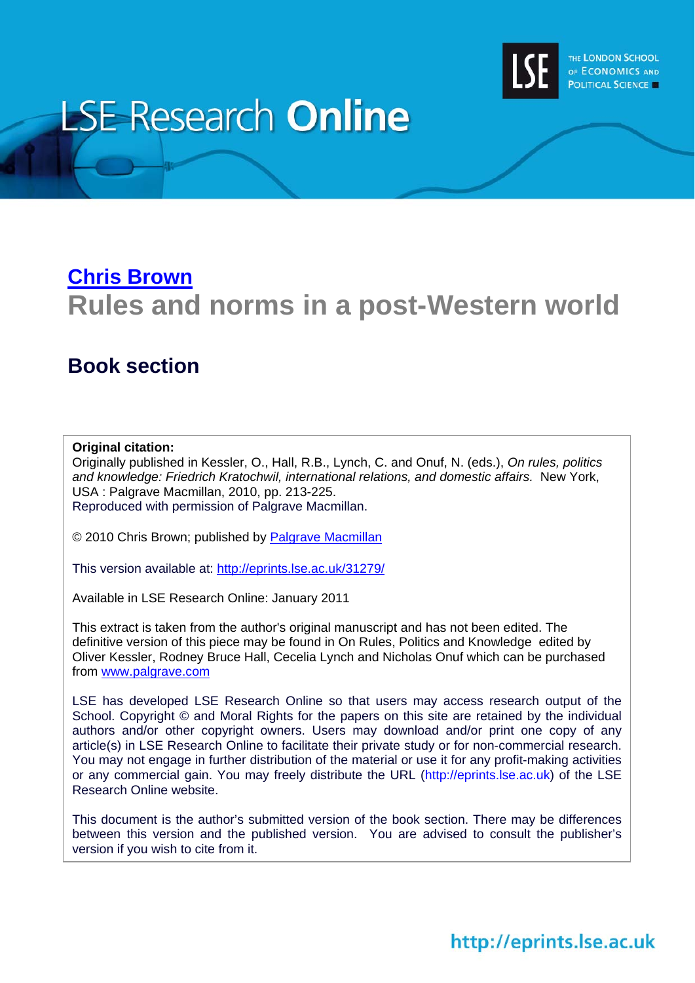

# **LSE Research Online**

## **[Chris Brown](http://www2.lse.ac.uk/researchAndExpertise/Experts/profile.aspx?KeyValue=c.j.brown@lse.ac.uk) Rules and norms in a post-Western world**

## **Book section**

#### **Original citation:**

Originally published in Kessler, O., Hall, R.B., Lynch, C. and Onuf, N. (eds.), *On rules, politics and knowledge: Friedrich Kratochwil, international relations, and domestic affairs.* New York, USA : Palgrave Macmillan, 2010, pp. 213-225. Reproduced with permission of Palgrave Macmillan.

© 2010 Chris Brown; published by [Palgrave Macmillan](http://www.palgrave.com/home/index.asp)

This version available at: <http://eprints.lse.ac.uk/31279/>

Available in LSE Research Online: January 2011

This extract is taken from the author's original manuscript and has not been edited. The definitive version of this piece may be found in On Rules, Politics and Knowledge edited by Oliver Kessler, Rodney Bruce Hall, Cecelia Lynch and Nicholas Onuf which can be purchased from [www.palgrave.com](http://www.palgrave.com/)

LSE has developed LSE Research Online so that users may access research output of the School. Copyright © and Moral Rights for the papers on this site are retained by the individual authors and/or other copyright owners. Users may download and/or print one copy of any article(s) in LSE Research Online to facilitate their private study or for non-commercial research. You may not engage in further distribution of the material or use it for any profit-making activities or any commercial gain. You may freely distribute the URL (http://eprints.lse.ac.uk) of the LSE Research Online website.

This document is the author's submitted version of the book section. There may be differences between this version and the published version. You are advised to consult the publisher's version if you wish to cite from it.

## http://eprints.lse.ac.uk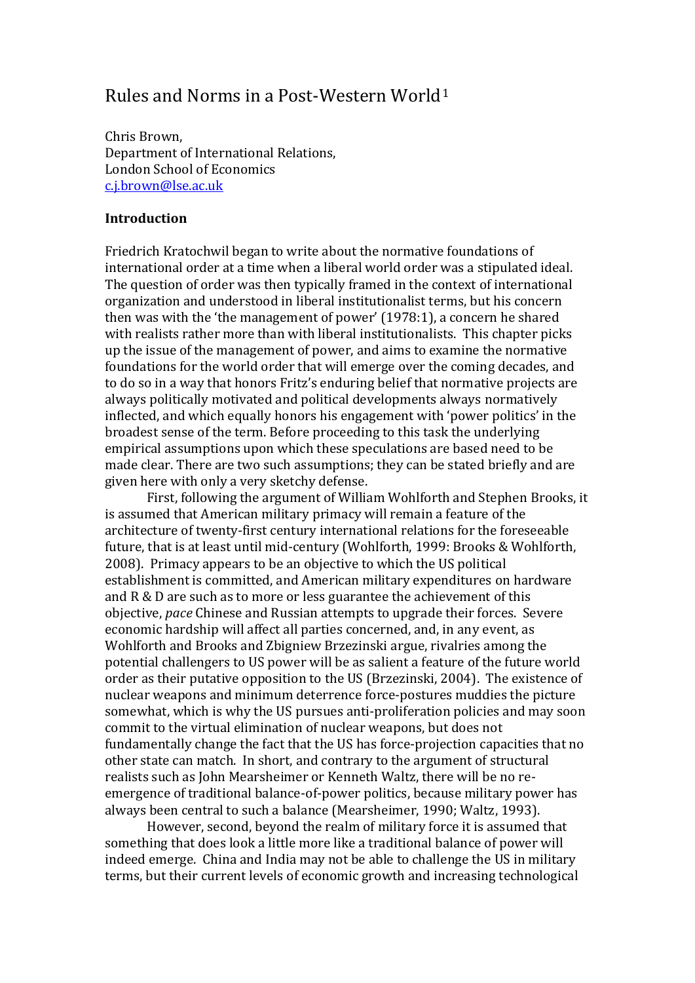### Rules and Norms in a Post‐Western World[1](#page-12-0)

Department of International Relations, Chris Brown, London School of Economics <u>c.j.brown@lse.ac.uk</u>

#### **Introduction**

Friedrich Kratochwil began to write about the normative foundations of international order at a time when a liberal world order was a stipulated ideal. The question of order was then typically framed in the context of international organization and understood in liberal institutionalist terms, but his concern then was with the 'the management of power' (1978:1), a concern he shared with realists rather more than with liberal institutionalists. This chapter picks up the issue of the management of power, and aims to examine the normative foundations for the world order that will emerge over the coming decades, and to do so in a way that honors Fritz's enduring belief that normative projects are always politically motivated and political developments always normatively inflected, and which equally honors his engagement with 'power politics' in the broadest sense of the term. Before proceeding to this task the underlying empirical assumptions upon which these speculations are based need to be made clear. There are two such assumptions; they can be stated briefly and are given here with only a very sketchy defense.

 First, following the argument of William Wohlforth and Stephen Brooks, it is assumed that American military primacy will remain a feature of the architecture of twenty‐first century international relations for the foreseeable future, that is at least until mid-century (Wohlforth, 1999: Brooks & Wohlforth, 2008). Primacy appears to be an objective to which the US political establishment is committed, and American military expenditures on hardware and R & D are such as to more or less guarantee the achievement of this objective, *pace* Chinese and Russian attempts to upgrade their forces. Severe economic hardship will affect all parties concerned, and, in any event, as Wohlforth and Brooks and Zbigniew Brzezinski argue, rivalries among the potential challengers to US power will be as salient a feature of the future world order as their putative opposition to the US (Brzezinski, 2004). The existence of nuclear weapons and minimum deterrence force‐postures muddies the picture somewhat, which is why the US pursues anti‐proliferation policies and may soon commit to the virtual elimination of nuclear weapons, but does not fundamentally change the fact that the US has force‐projection capacities that no other state can match. In short, and contrary to the argument of structural realists such as John Mearsheimer or Kenneth Waltz, there will be no re‐ emergence of traditional balance-of-power politics, because military power has always been central to such a balance (Mearsheimer, 1990; Waltz, 1993).

 However, second, beyond the realm of military force it is assumed that something that does look a little more like a traditional balance of power will indeed emerge. China and India may not be able to challenge the US in military terms, but their current levels of economic growth and increasing technological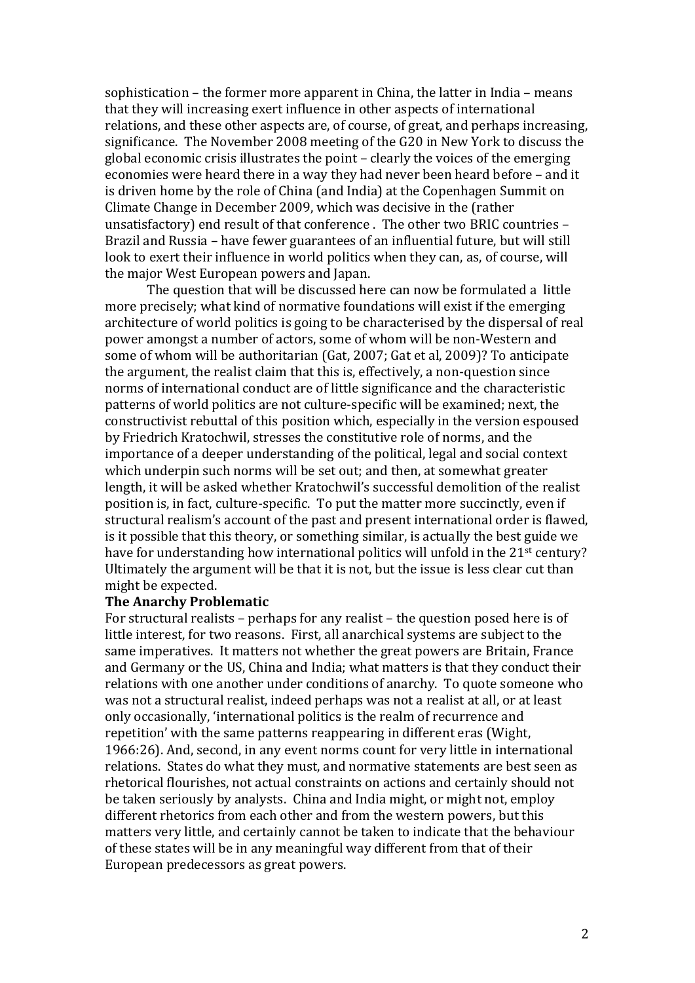sophistication – the former more apparent in China, the latter in India – means that they will increasing exert influence in other aspects of international relations, and these other aspects are, of course, of great, and perhaps increasing, significance. The November 2008 meeting of the G20 in New York to discuss the global economic crisis illustrates the point – clearly the voices of the emerging economies were heard there in a way they had never been heard before – and it is driven home by the role of China (and India) at the Copenhagen Summit on Climate Change in December 2009, which was decisive in the (rather unsatisfactory) end result of that conference . The other two BRIC countries – Brazil and Russia – have fewer guarantees of an influential future, but will still look to exert their influence in world politics when they can, as, of course, will the major West European powers and Japan.

 The question that will be discussed here can now be formulated a little more precisely; what kind of normative foundations will exist if the emerging architecture of world politics is going to be characterised by the dispersal of real power amongst a number of actors, some of whom will be non‐Western and some of whom will be authoritarian (Gat, 2007; Gat et al, 2009)? To anticipate the argument, the realist claim that this is, effectively, a non‐question since norms of international conduct are of little significance and the characteristic patterns of world politics are not culture‐specific will be examined; next, the constructivist rebuttal of this position which, especially in the version espoused by Friedrich Kratochwil, stresses the constitutive role of norms, and the importance of a deeper understanding of the political, legal and social context which underpin such norms will be set out; and then, at somewhat greater length, it will be asked whether Kratochwil's successful demolition of the realist position is, in fact, culture‐specific. To put the matter more succinctly, even if structural realism's account of the past and present international order is flawed, is it possible that this theory, or something similar, is actually the best guide we have for understanding how international politics will unfold in the 21<sup>st</sup> century? Ultimately the argument will be that it is not, but the issue is less clear cut than might be expected.

#### **The Anarchy Problematic**

For structural realists – perhaps for any realist – the question posed here is of little interest, for two reasons. First, all anarchical systems are subject to the same imperatives. It matters not whether the great powers are Britain, France and Germany or the US, China and India; what matters is that they conduct their relations with one another under conditions of anarchy. To quote someone who was not a structural realist, indeed perhaps was not a realist at all, or at least only occasionally, 'international politics is the realm of recurrence and repetition' with the same patterns reappearing in different eras (Wight, 1966:26). And, second, in any event norms count for very little in international relations. States do what they must, and normative statements are best seen as rhetorical flourishes, not actual constraints on actions and certainly should not be taken seriously by analysts. China and India might, or might not, employ different rhetorics from each other and from the western powers, but this matters very little, and certainly cannot be taken to indicate that the behaviour of these states will be in any meaningful way different from that of their European predecessors as great powers.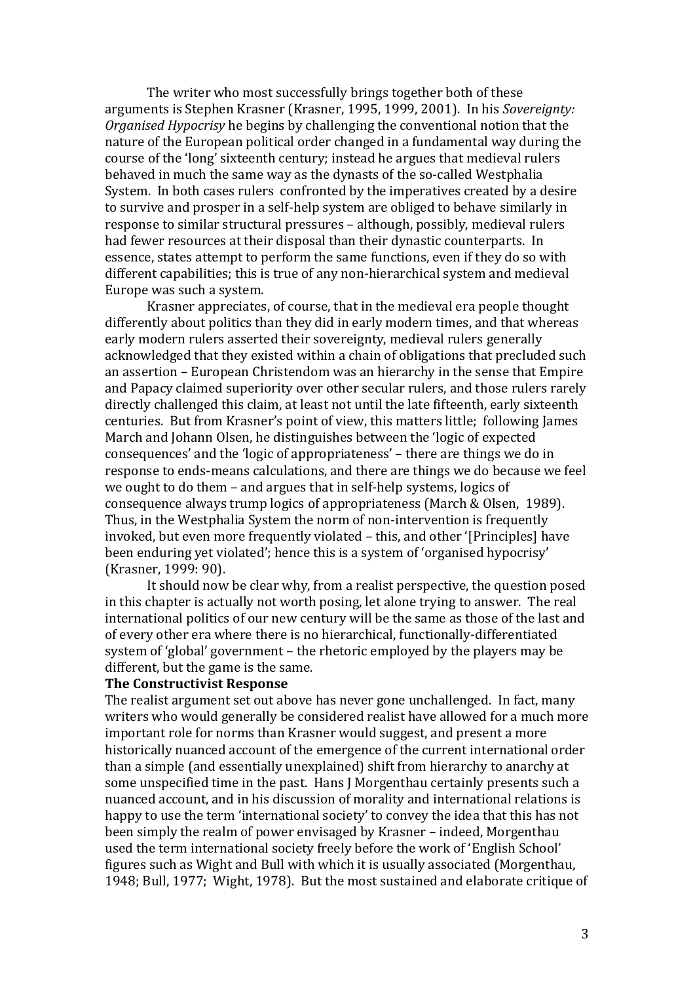The writer who most successfully brings together both of these arguments is Stephen Krasner (Krasner, 1995, 1999, 2001). In his *Sovereignty: Organised Hypocrisy* he begins by challenging the conventional notion that the nature of the European political order changed in a fundamental way during the course of the 'long' sixteenth century; instead he argues that medieval rulers behaved in much the same way as the dynasts of the so-called Westphalia System. In both cases rulers confronted by the imperatives created by a desire to survive and prosper in a self‐help system are obliged to behave similarly in response to similar structural pressures – although, possibly, medieval rulers had fewer resources at their disposal than their dynastic counterparts. In essence, states attempt to perform the same functions, even if they do so with different capabilities; this is true of any non-hierarchical system and medieval Europe was such a system.

 Krasner appreciates, of course, that in the medieval era people thought differently about politics than they did in early modern times, and that whereas early modern rulers asserted their sovereignty, medieval rulers generally acknowledged that they existed within a chain of obligations that precluded such an assertion – European Christendom was an hierarchy in the sense that Empire and Papacy claimed superiority over other secular rulers, and those rulers rarely directly challenged this claim, at least not until the late fifteenth, early sixteenth centuries. But from Krasner's point of view, this matters little; following James March and Johann Olsen, he distinguishes between the 'logic of expected consequences' and the 'logic of appropriateness' – there are things we do in response to ends‐means calculations, and there are things we do because we feel we ought to do them – and argues that in self-help systems, logics of consequence always trump logics of appropriateness (March & Olsen, 1989). Thus, in the Westphalia System the norm of non‐intervention is frequently invoked, but even more frequently violated – this, and other '[Principles] have been enduring yet violated'; hence this is a system of 'organised hypocrisy' (Krasner, 1999: 90).

 It should now be clear why, from a realist perspective, the question posed in this chapter is actually not worth posing, let alone trying to answer. The real international politics of our new century will be the same as those of the last and of every other era where there is no hierarchical, functionally‐differentiated system of 'global' government – the rhetoric employed by the players may be different, but the game is the same.

#### **The Constructivist Response**

The realist argument set out above has never gone unchallenged. In fact, many writers who would generally be considered realist have allowed for a much more important role for norms than Krasner would suggest, and present a more historically nuanced account of the emergence of the current international order than a simple (and essentially unexplained) shift from hierarchy to anarchy at some unspecified time in the past. Hans J Morgenthau certainly presents such a nuanced account, and in his discussion of morality and international relations is happy to use the term 'international society' to convey the idea that this has not been simply the realm of power envisaged by Krasner – indeed, Morgenthau used the term international society freely before the work of 'English School' figures such as Wight and Bull with which it is usually associated (Morgenthau, 1948; Bull, 1977; Wight, 1978). But the most sustained and elaborate critique of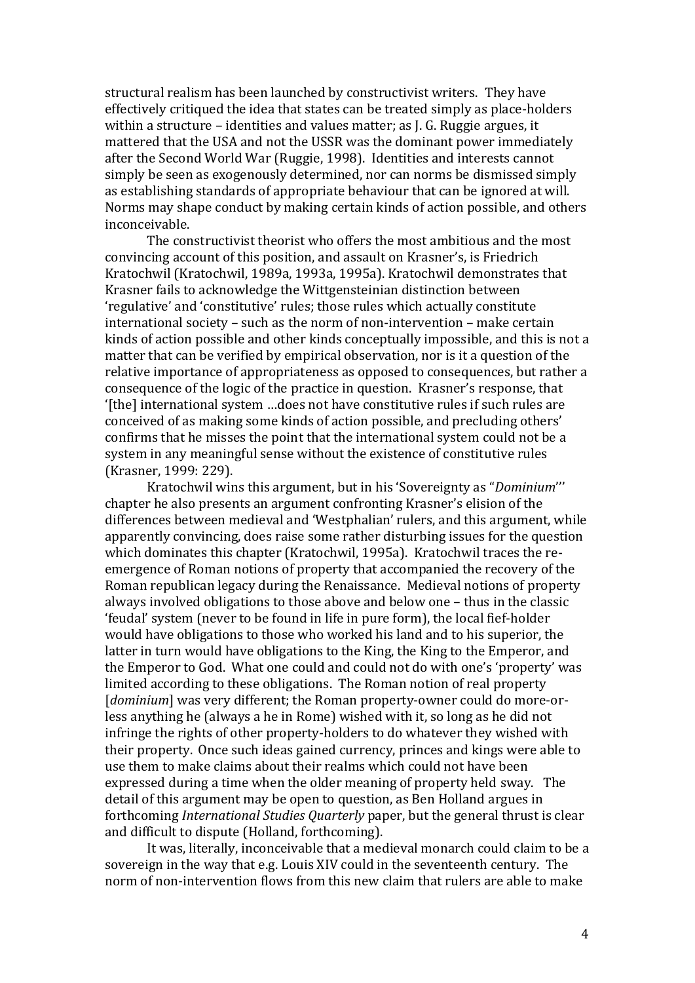structural realism has been launched by constructivist writers. They have effectively critiqued the idea that states can be treated simply as place-holders within a structure – identities and values matter; as J. G. Ruggie argues, it mattered that the USA and not the USSR was the dominant power immediately after the Second World War (Ruggie, 1998). Identities and interests cannot simply be seen as exogenously determined, nor can norms be dismissed simply as establishing standards of appropriate behaviour that can be ignored at will. Norms may shape conduct by making certain kinds of action possible, and others inconceivable.

 The constructivist theorist who offers the most ambitious and the most convincing account of this position, and assault on Krasner's, is Friedrich Kratochwil (Kratochwil, 1989a, 1993a, 1995a). Kratochwil demonstrates that Krasner fails to acknowledge the Wittgensteinian distinction between 'regulative' and 'constitutive' rules; those rules which actually constitute international society – such as the norm of non‐intervention – make certain kinds of action possible and other kinds conceptually impossible, and this is not a matter that can be verified by empirical observation, nor is it a question of the relative importance of appropriateness as opposed to consequences, but rather a consequence of the logic of the practice in question. Krasner's response, that '[the] international system …does not have constitutive rules if such rules are conceived of as making some kinds of action possible, and precluding others' confirms that he misses the point that the international system could not be a system in any meaningful sense without the existence of constitutive rules (Krasner, 1999: 229).

 Kratochwil wins this argument, but in his 'Sovereignty as "*Dominium*''' chapter he also presents an argument confronting Krasner's elision of the differences between medieval and 'Westphalian' rulers, and this argument, while apparently convincing, does raise some rather disturbing issues for the question which dominates this chapter (Kratochwil, 1995a). Kratochwil traces the reemergence of Roman notions of property that accompanied the recovery of the Roman republican legacy during the Renaissance. Medieval notions of property always involved obligations to those above and below one – thus in the classic 'feudal' system (never to be found in life in pure form), the local fief‐holder would have obligations to those who worked his land and to his superior, the latter in turn would have obligations to the King, the King to the Emperor, and the Emperor to God. What one could and could not do with one's 'property' was limited according to these obligations. The Roman notion of real property [*dominium*] was very different; the Roman property‐owner could do more‐or‐ less anything he (always a he in Rome) wished with it, so long as he did not infringe the rights of other property-holders to do whatever they wished with their property. Once such ideas gained currency, princes and kings were able to use them to make claims about their realms which could not have been expressed during a time when the older meaning of property held sway. The detail of this argument may be open to question, as Ben Holland argues in forthcoming *International Studies Quarterly* paper, but the general thrust is clear and difficult to dispute (Holland, forthcoming).

It was, literally, inconceivable that a medieval monarch could claim to be a sovereign in the way that e.g. Louis XIV could in the seventeenth century. The norm of non‐intervention flows from this new claim that rulers are able to make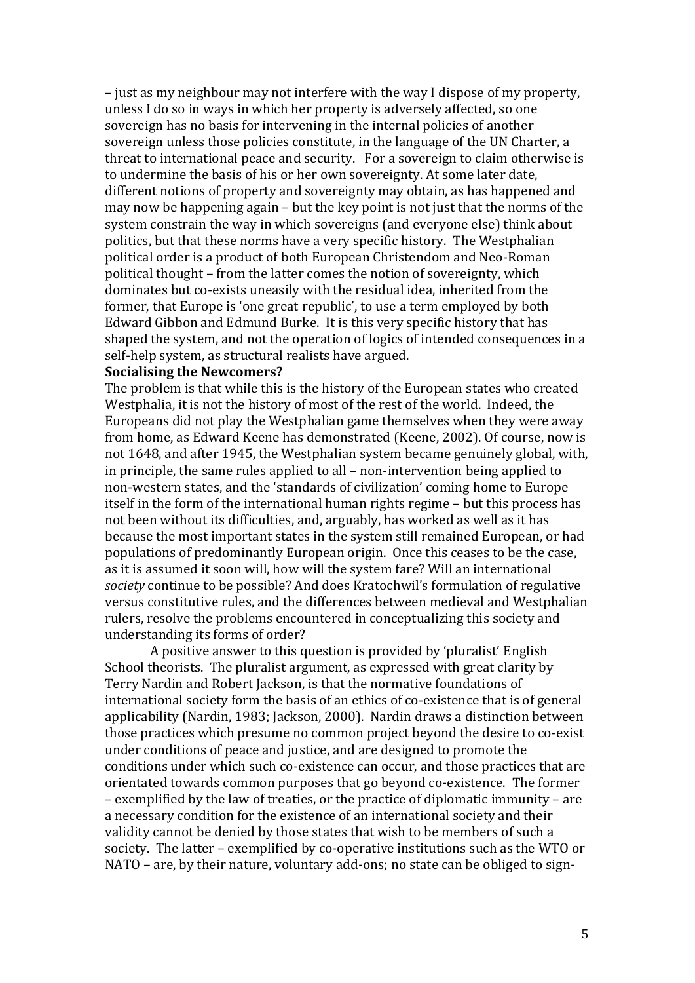– just as my neighbour may not interfere with the way I dispose of my property, unless I do so in ways in which her property is adversely affected, so one sovereign has no basis for intervening in the internal policies of another sovereign unless those policies constitute, in the language of the UN Charter, a threat to international peace and security. For a sovereign to claim otherwise is to undermine the basis of his or her own sovereignty. At some later date, different notions of property and sovereignty may obtain, as has happened and may now be happening again – but the key point is not just that the norms of the system constrain the way in which sovereigns (and everyone else) think about politics, but that these norms have a very specific history. The Westphalian political order is a product of both European Christendom and Neo‐Roman political thought – from the latter comes the notion of sovereignty, which dominates but co‐exists uneasily with the residual idea, inherited from the former, that Europe is 'one great republic', to use a term employed by both Edward Gibbon and Edmund Burke. It is this very specific history that has shaped the system, and not the operation of logics of intended consequences in a self-help system, as structural realists have argued.

#### **Socialising the Newcomers?**

The problem is that while this is the history of the European states who created Westphalia, it is not the history of most of the rest of the world. Indeed, the Europeans did not play the Westphalian game themselves when they were away from home, as Edward Keene has demonstrated (Keene, 2002). Of course, now is not 1648, and after 1945, the Westphalian system became genuinely global, with, in principle, the same rules applied to all – non‐intervention being applied to non‐western states, and the 'standards of civilization' coming home to Europe itself in the form of the international human rights regime – but this process has not been without its difficulties, and, arguably, has worked as well as it has because the most important states in the system still remained European, or had populations of predominantly European origin. Once this ceases to be the case, as it is assumed it soon will, how will the system fare? Will an international *society* continue to be possible? And does Kratochwil's formulation of regulative versus constitutive rules, and the differences between medieval and Westphalian rulers, resolve the problems encountered in conceptualizing this society and understanding its forms of order?

 A positive answer to this question is provided by 'pluralist' English School theorists. The pluralist argument, as expressed with great clarity by Terry Nardin and Robert Jackson, is that the normative foundations of international society form the basis of an ethics of co‐existence that is of general applicability (Nardin, 1983; Jackson, 2000). Nardin draws a distinction between those practices which presume no common project beyond the desire to co‐exist under conditions of peace and justice, and are designed to promote the conditions under which such co‐existence can occur, and those practices that are orientated towards common purposes that go beyond co‐existence. The former – exemplified by the law of treaties, or the practice of diplomatic immunity – are a necessary condition for the existence of an international society and their validity cannot be denied by those states that wish to be members of such a society. The latter – exemplified by co-operative institutions such as the WTO or NATO – are, by their nature, voluntary add-ons; no state can be obliged to sign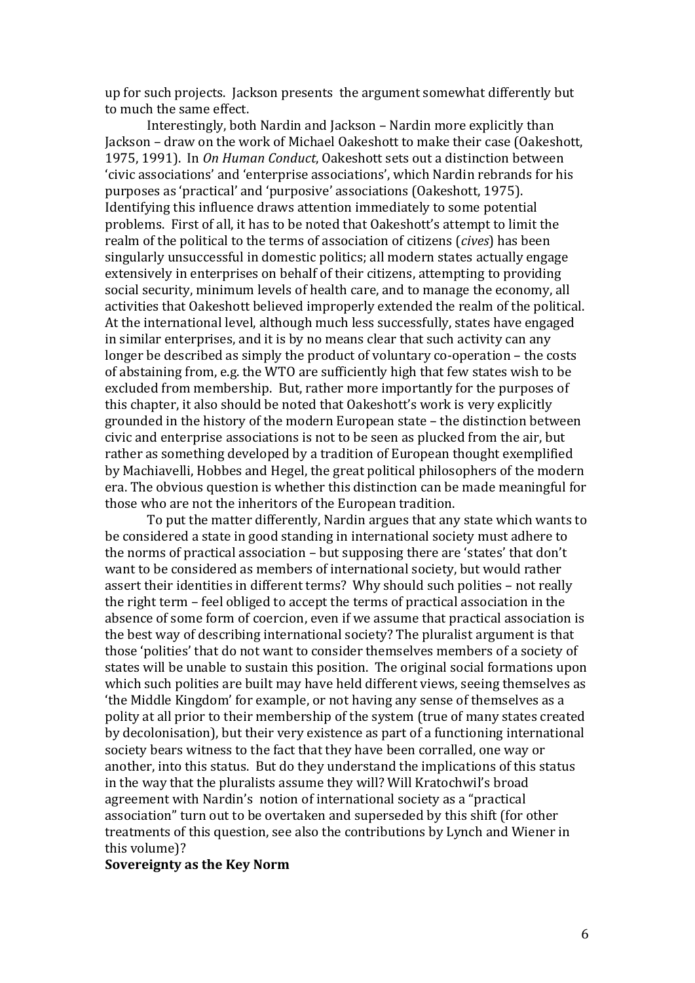up for such projects. Jackson presents the argument somewhat differently but to much the same effect.

Interestingly, both Nardin and Jackson – Nardin more explicitly than Jackson – draw on the work of Michael Oakeshott to make their case (Oakeshott, 1975, 1991). In *On Human Conduct*, Oakeshott sets out a distinction between 'civic associations' and 'enterprise associations', which Nardin rebrands for his purposes as 'practical' and 'purposive' associations (Oakeshott, 1975). Identifying this influence draws attention immediately to some potential problems. First of all, it has to be noted that Oakeshott's attempt to limit the realm of the political to the terms of association of citizens (*cives*) has been singularly unsuccessful in domestic politics; all modern states actually engage extensively in enterprises on behalf of their citizens, attempting to providing social security, minimum levels of health care, and to manage the economy, all activities that Oakeshott believed improperly extended the realm of the political. At the international level, although much less successfully, states have engaged in similar enterprises, and it is by no means clear that such activity can any longer be described as simply the product of voluntary co-operation – the costs of abstaining from, e.g. the WTO are sufficiently high that few states wish to be excluded from membership. But, rather more importantly for the purposes of this chapter, it also should be noted that Oakeshott's work is very explicitly grounded in the history of the modern European state – the distinction between civic and enterprise associations is not to be seen as plucked from the air, but rather as something developed by a tradition of European thought exemplified by Machiavelli, Hobbes and Hegel, the great political philosophers of the modern era. The obvious question is whether this distinction can be made meaningful for those who are not the inheritors of the European tradition.

To put the matter differently, Nardin argues that any state which wants to be considered a state in good standing in international society must adhere to the norms of practical association – but supposing there are 'states' that don't want to be considered as members of international society, but would rather assert their identities in different terms? Why should such polities – not really the right term – feel obliged to accept the terms of practical association in the absence of some form of coercion, even if we assume that practical association is the best way of describing international society? The pluralist argument is that those 'polities' that do not want to consider themselves members of a society of states will be unable to sustain this position. The original social formations upon which such polities are built may have held different views, seeing themselves as 'the Middle Kingdom' for example, or not having any sense of themselves as a polity at all prior to their membership of the system (true of many states created by decolonisation), but their very existence as part of a functioning international society bears witness to the fact that they have been corralled, one way or another, into this status. But do they understand the implications of this status in the way that the pluralists assume they will? Will Kratochwil's broad agreement with Nardin's notion of international society as a "practical association" turn out to be overtaken and superseded by this shift (for other treatments of this question, see also the contributions by Lynch and Wiener in this volume)?

#### **Sovereignty as the Key Norm**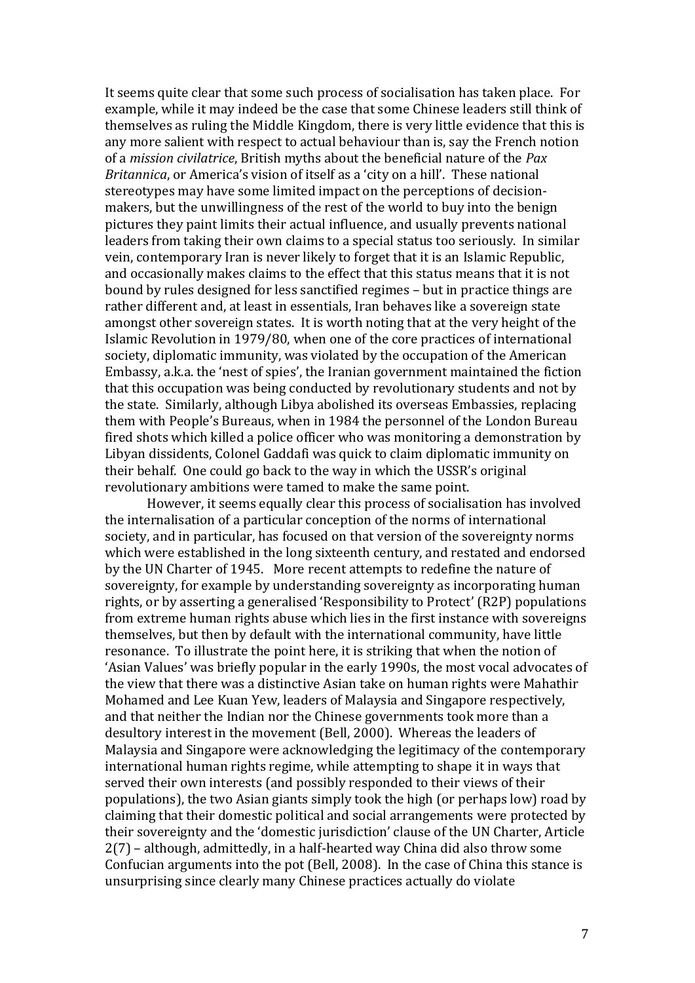It seems quite clear that some such process of socialisation has taken place. For example, while it may indeed be the case that some Chinese leaders still think of themselves as ruling the Middle Kingdom, there is very little evidence that this is any more salient with respect to actual behaviour than is, say the French notion of a *mission civilatrice*, British myths about the beneficial nature of the *Pax Britannica*, or America's vision of itself as a 'city on a hill'. These national stereotypes may have some limited impact on the perceptions of decisionmakers, but the unwillingness of the rest of the world to buy into the benign pictures they paint limits their actual influence, and usually prevents national leaders from taking their own claims to a special status too seriously. In similar vein, contemporary Iran is never likely to forget that it is an Islamic Republic, and occasionally makes claims to the effect that this status means that it is not bound by rules designed for less sanctified regimes – but in practice things are rather different and, at least in essentials, Iran behaves like a sovereign state amongst other sovereign states. It is worth noting that at the very height of the Islamic Revolution in 1979/80, when one of the core practices of international society, diplomatic immunity, was violated by the occupation of the American Embassy, a.k.a. the 'nest of spies', the Iranian government maintained the fiction that this occupation was being conducted by revolutionary students and not by the state. Similarly, although Libya abolished its overseas Embassies, replacing them with People's Bureaus, when in 1984 the personnel of the London Bureau fired shots which killed a police officer who was monitoring a demonstration by Libyan dissidents, Colonel Gaddafi was quick to claim diplomatic immunity on their behalf. One could go back to the way in which the USSR's original revolutionary ambitions were tamed to make the same point.

 However, it seems equally clear this process of socialisation has involved the internalisation of a particular conception of the norms of international society, and in particular, has focused on that version of the sovereignty norms which were established in the long sixteenth century, and restated and endorsed by the UN Charter of 1945. More recent attempts to redefine the nature of sovereignty, for example by understanding sovereignty as incorporating human rights, or by asserting a generalised 'Responsibility to Protect' (R2P) populations from extreme human rights abuse which lies in the first instance with sovereigns themselves, but then by default with the international community, have little resonance. To illustrate the point here, it is striking that when the notion of 'Asian Values' was briefly popular in the early 1990s, the most vocal advocates of the view that there was a distinctive Asian take on human rights were Mahathir Mohamed and Lee Kuan Yew, leaders of Malaysia and Singapore respectively, and that neither the Indian nor the Chinese governments took more than a desultory interest in the movement (Bell, 2000). Whereas the leaders of Malaysia and Singapore were acknowledging the legitimacy of the contemporary international human rights regime, while attempting to shape it in ways that served their own interests (and possibly responded to their views of their populations), the two Asian giants simply took the high (or perhaps low) road by claiming that their domestic political and social arrangements were protected by their sovereignty and the 'domestic jurisdiction' clause of the UN Charter, Article 2(7) – although, admittedly, in a half‐hearted way China did also throw some Confucian arguments into the pot (Bell, 2008). In the case of China this stance is unsurprising since clearly many Chinese practices actually do violate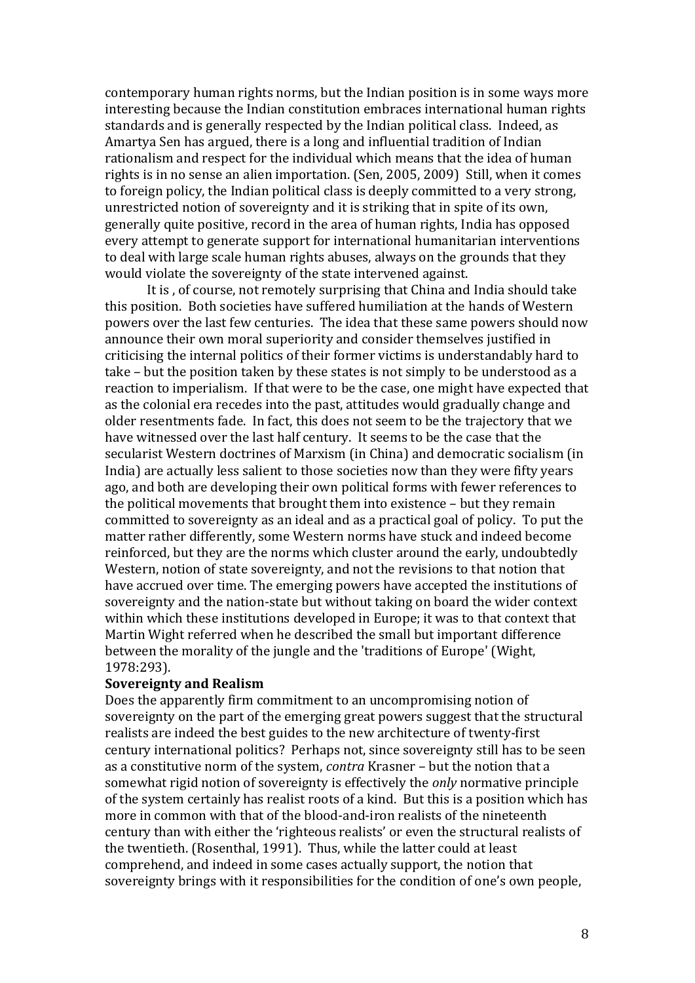contemporary human rights norms, but the Indian position is in some ways more interesting because the Indian constitution embraces international human rights standards and is generally respected by the Indian political class. Indeed, as Amartya Sen has argued, there is a long and influential tradition of Indian rationalism and respect for the individual which means that the idea of human rights is in no sense an alien importation. (Sen, 2005, 2009) Still, when it comes to foreign policy, the Indian political class is deeply committed to a very strong, unrestricted notion of sovereignty and it is striking that in spite of its own, generally quite positive, record in the area of human rights, India has opposed every attempt to generate support for international humanitarian interventions to deal with large scale human rights abuses, always on the grounds that they would violate the sovereignty of the state intervened against.

 It is , of course, not remotely surprising that China and India should take this position. Both societies have suffered humiliation at the hands of Western powers over the last few centuries. The idea that these same powers should now announce their own moral superiority and consider themselves justified in criticising the internal politics of their former victims is understandably hard to take – but the position taken by these states is not simply to be understood as a reaction to imperialism. If that were to be the case, one might have expected that as the colonial era recedes into the past, attitudes would gradually change and older resentments fade. In fact, this does not seem to be the trajectory that we have witnessed over the last half century. It seems to be the case that the secularist Western doctrines of Marxism (in China) and democratic socialism (in India) are actually less salient to those societies now than they were fifty years ago, and both are developing their own political forms with fewer references to the political movements that brought them into existence – but they remain committed to sovereignty as an ideal and as a practical goal of policy. To put the matter rather differently, some Western norms have stuck and indeed become reinforced, but they are the norms which cluster around the early, undoubtedly Western, notion of state sovereignty, and not the revisions to that notion that have accrued over time. The emerging powers have accepted the institutions of sovereignty and the nation‐state but without taking on board the wider context within which these institutions developed in Europe; it was to that context that Martin Wight referred when he described the small but important difference between the morality of the jungle and the 'traditions of Europe' (Wight, 1978:293).

#### **Sovereignty and Realism**

Does the apparently firm commitment to an uncompromising notion of sovereignty on the part of the emerging great powers suggest that the structural realists are indeed the best guides to the new architecture of twenty‐first century international politics? Perhaps not, since sovereignty still has to be seen as a constitutive norm of the system, *contra* Krasner – but the notion that a somewhat rigid notion of sovereignty is effectively the *only* normative principle of the system certainly has realist roots of a kind. But this is a position which has more in common with that of the blood‐and‐iron realists of the nineteenth century than with either the 'righteous realists' or even the structural realists of the twentieth. (Rosenthal, 1991). Thus, while the latter could at least comprehend, and indeed in some cases actually support, the notion that sovereignty brings with it responsibilities for the condition of one's own people,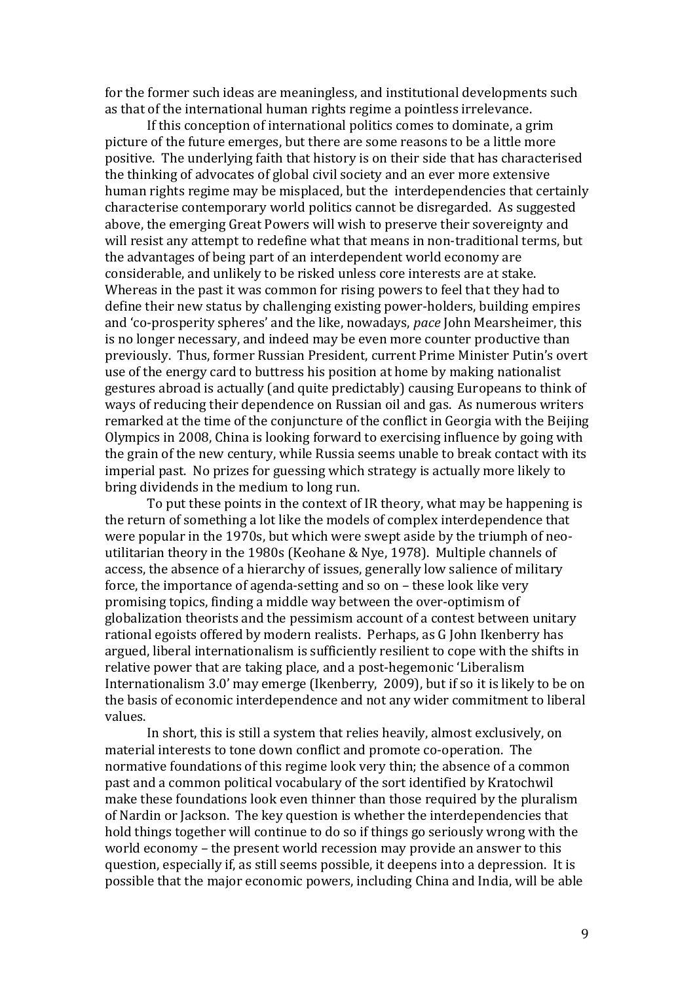for the former such ideas are meaningless, and institutional developments su ch as that of the international human rights regime a pointless irrelevance.

 If this conception of international politics comes to dominate, a grim picture of the future emerges, but there are some reasons to be a little more positive. The underlying faith that history is on their side that has characterised the thinking of advocates of global civil society and an ever more extensive human rights regime may be misplaced, but the interdependencies that certainly characterise contemporary world politics cannot be disregarded. As suggested above, the emerging Great Powers will wish to preserve their sovereignty and will resist any attempt to redefine what that means in non-traditional terms, but the advantages of being part of an interdependent world economy are considerable, and unlikely to be risked unless core interests are at stake. Whereas in the past it was common for rising powers to feel that they had to define their new status by challenging existing power-holders, building empires and 'co‐prosperity spheres' and the like, nowadays, *pace* John Mearsheimer, this is no longer necessary, and indeed may be even more counter productive than previously. Thus, former Russian President, current Prime Minister Putin's overt use of the energy card to buttress his position at home by making nationalist gestures abroad is actually (and quite predictably) causing Europeans to think of ways of reducing their dependence on Russian oil and gas. As numerous writers remarked at the time of the conjuncture of the conflict in Georgia with the Beijing Olympics in 2008, China is looking forward to exercising influence by going with the grain of the new century, while Russia seems unable to break contact with its imperial past. No prizes for guessing which strategy is actually more likely to bring dividends in the medium to long run.

 To put these points in the context of IR theory, what may be happening is the return of something a lot like the models of complex interdependence that were popular in the 1970s, but which were swept aside by the triumph of neoutilitarian theory in the 1980s (Keohane & Nye, 1978). Multiple channels of access, the absence of a hierarchy of issues, generally low salience of military force, the importance of agenda‐setting and so on – these look like very promising topics, finding a middle way between the over‐optimism of globalization theorists and the pessimism account of a contest between unitary rational egoists offered by modern realists. Perhaps, as G John Ikenberry has argued, liberal internationalism is sufficiently resilient to cope with the shifts in relative power that are taking place, and a post‐hegemonic 'Liberalism Internationalism 3.0' may emerge (Ikenberry, 2009), but if so it is likely to be on the basis of economic interdependence and not any wider commitment to liberal values.

 In short, this is still a system that relies heavily, almost exclusively, on material interests to tone down conflict and promote co-operation. The normative foundations of this regime look very thin; the absence of a common past and a common political vocabulary of the sort identified by Kratochwil make these foundations look even thinner than those required by the pluralism of Nardin or Jackson. The key question is whether the interdependencies that hold things together will continue to do so if things go seriously wrong with the world economy – the present world recession may provide an answer to this question, especially if, as still seems possible, it deepens into a depression. It is possible that the major economic powers, including China and India, will be able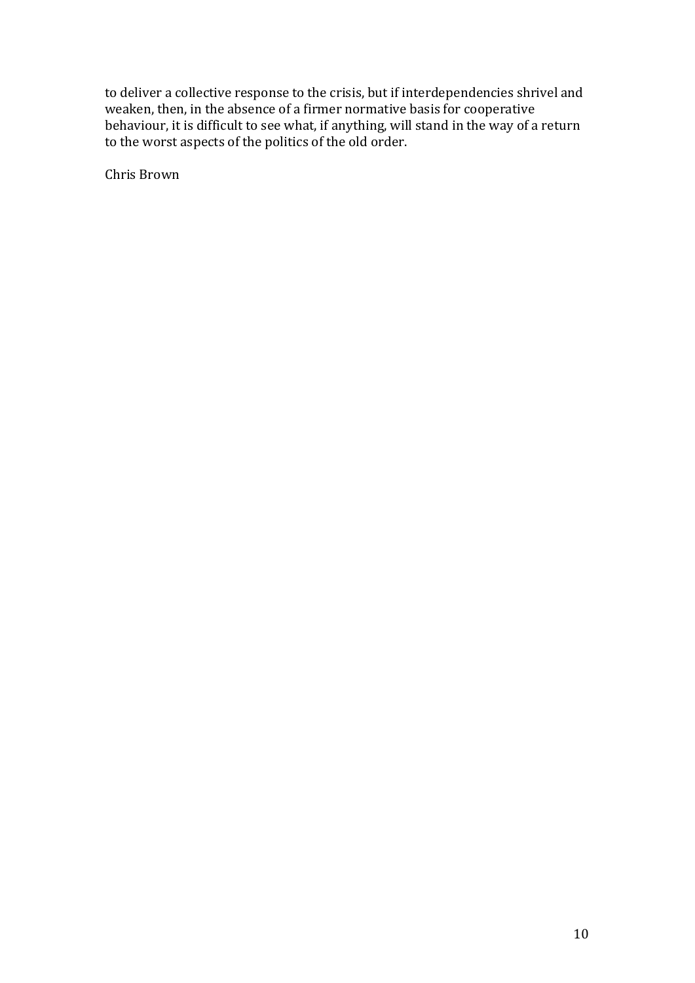to deliver a collective response to the crisis, but if interdependencies shrivel and weaken, then, in the absence of a firmer normative basis for cooperative behaviour, it is difficult to see what, if anything, will stand in the way of a return to the worst aspects of the politics of the old order.

Chris Brown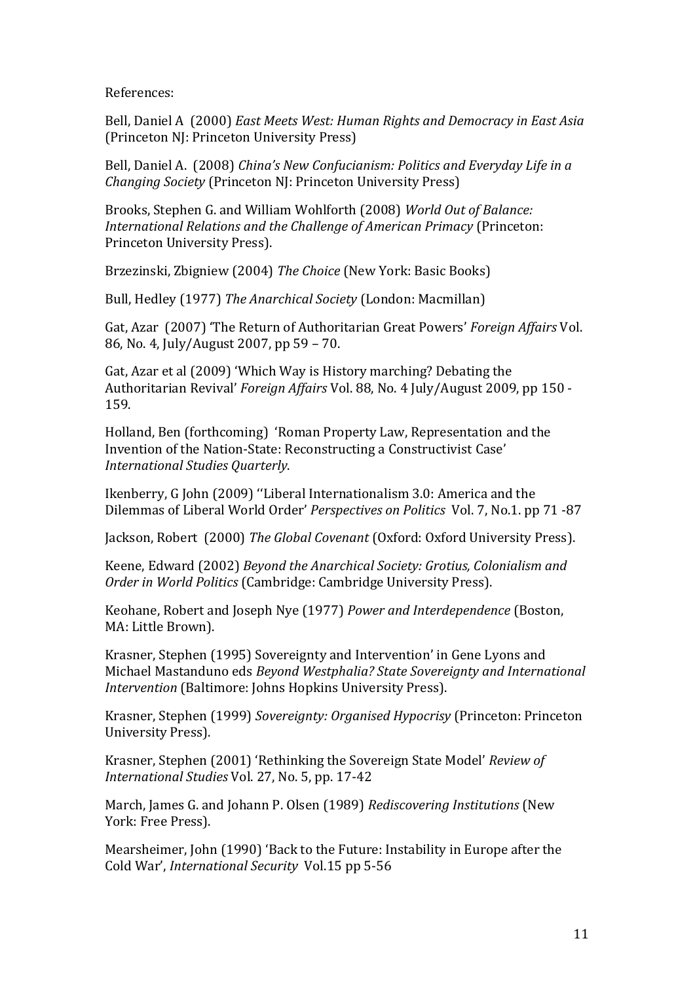References:

Bell, Daniel A (2000) *East Meets West: Human Rights and Democracy in East Asia* (Princeton NJ: Princeton University Press)

Bell, Daniel A. (2008) *China's New Confucianism: Politics and Everyday Life in a Changing Society* (Princeton NJ: Princeton University Press)

Brooks, Stephen G. and William Wohlforth (2008) *World Out of Balance: International Relations and the Challenge of American Primacy* (Princeton: Princeton University Press).

Brzezinski, Zbigniew (2004) *The Choice* (New York: Basic Books)

Bull, Hedley (1977) *The Anarchical Society* (London: Macmillan)

Gat, Azar (2007) 'The Return of Authoritarian Great Powers' *Foreign Affairs* Vol. 86, No. 4, July/August 2007, pp 59 – 70.

Gat, Azar et al (2009) 'Which Way is History marching? Debating the Authoritarian Revival' *Foreign Affairs* Vol. 88, No. 4 July/August 2009, pp 150 ‐ 159.

Holland, Ben (forthcoming) 'Roman Property Law, Representation and the Invention of the Nation‐State: Reconstructing a Constructivist Case' *International Studies Quarterly*.

Ikenberry, G John (2009) ''Liberal Internationalism 3.0: America and the Dilemmas of Liberal World Order' *Perspectives on Politics* Vol. 7, No.1. pp 71 ‐87

Jackson, Robert (2000) *The Global Covenant* (Oxford: Oxford University Press).

Keene, Edward (2002) *Beyond the Anarchical Society: Grotius, Colonialism and Order in World Politics* (Cambridge: Cambridge University Press).

Keohane, Robert and Joseph Nye (1977) *Power and Interdependence* (Boston, MA: Little Brown).

Krasner, Stephen (1995) Sovereignty and Intervention' in Gene Lyons and Michael Mastanduno eds *Beyond Westphalia? State Sovereignty and International Intervention* (Baltimore: Johns Hopkins University Press).

Krasner, Stephen (1999) *Sovereignty: Organised Hypocrisy* (Princeton: Princeton University Press).

Krasner, Stephen (2001) 'Rethinking the Sovereign State Model' *Review of International Studies* Vol. 27, No. 5, pp. 17‐42

March, James G. and Johann P. Olsen (1989) *Rediscovering Institutions* (New York: Free Press).

Mearsheimer, John (1990) 'Back to the Future: Instability in Europe after the Cold War', *International Security* Vol.15 pp 5‐56